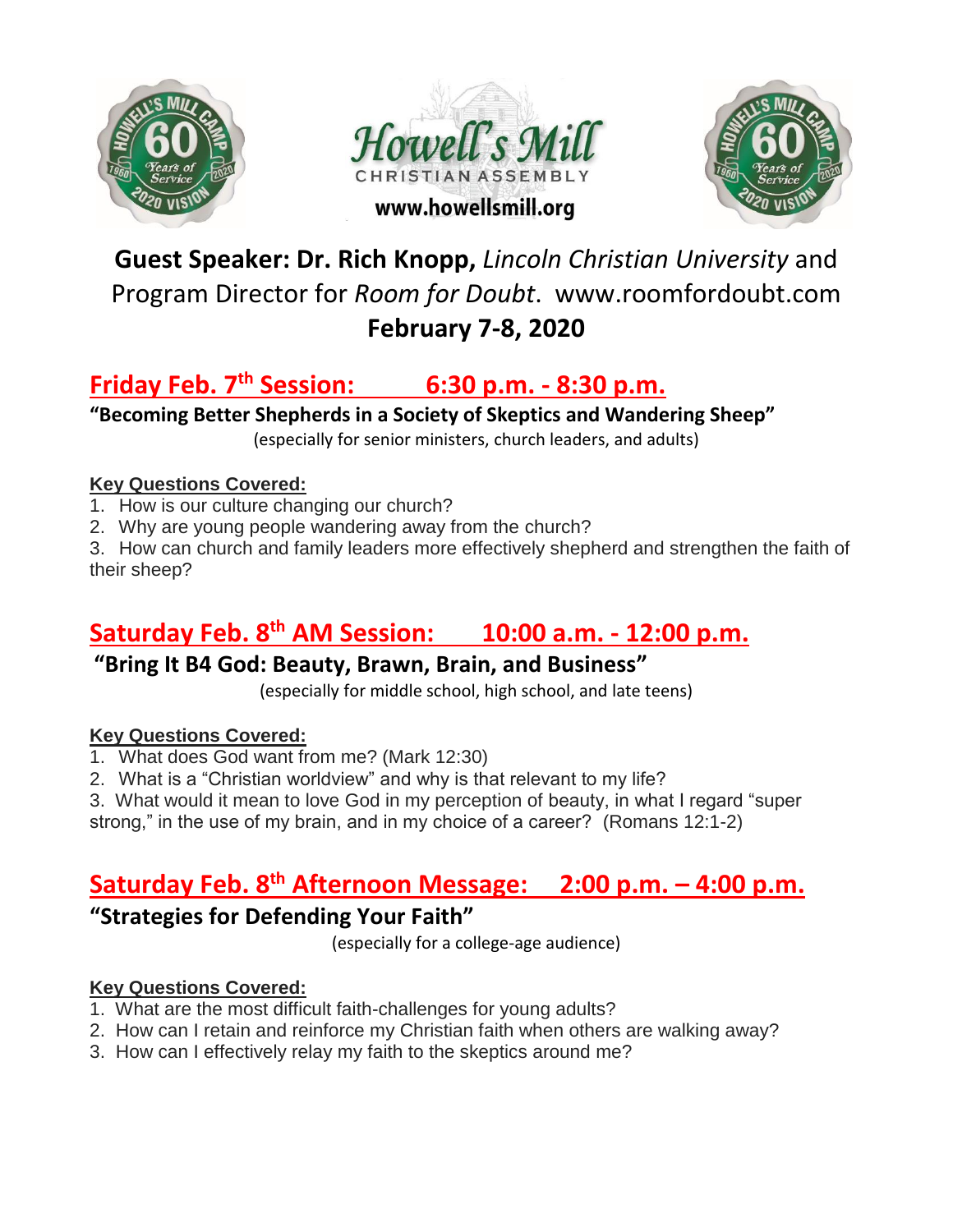





# **Guest Speaker: Dr. Rich Knopp,** *Lincoln Christian University* and Program Director for *Room for Doubt*. www.roomfordoubt.com **February 7-8, 2020**

# **Friday Feb. 7th Session: 6:30 p.m. - 8:30 p.m.**

**"Becoming Better Shepherds in a Society of Skeptics and Wandering Sheep"**

(especially for senior ministers, church leaders, and adults)

#### **Key Questions Covered:**

- 1. How is our culture changing our church?
- 2. Why are young people wandering away from the church?

3. How can church and family leaders more effectively shepherd and strengthen the faith of their sheep?

# **Saturday Feb. 8th AM Session: 10:00 a.m. - 12:00 p.m.**

### **"Bring It B4 God: Beauty, Brawn, Brain, and Business"**

(especially for middle school, high school, and late teens)

#### **Key Questions Covered:**

- 1. What does God want from me? (Mark 12:30)
- 2. What is a "Christian worldview" and why is that relevant to my life?

3. What would it mean to love God in my perception of beauty, in what I regard "super strong," in the use of my brain, and in my choice of a career? (Romans 12:1-2)

## **Saturday Feb. 8th Afternoon Message: 2:00 p.m. – 4:00 p.m.**

### **"Strategies for Defending Your Faith"**

(especially for a college-age audience)

### **Key Questions Covered:**

- 1. What are the most difficult faith-challenges for young adults?
- 2. How can I retain and reinforce my Christian faith when others are walking away?
- 3. How can I effectively relay my faith to the skeptics around me?